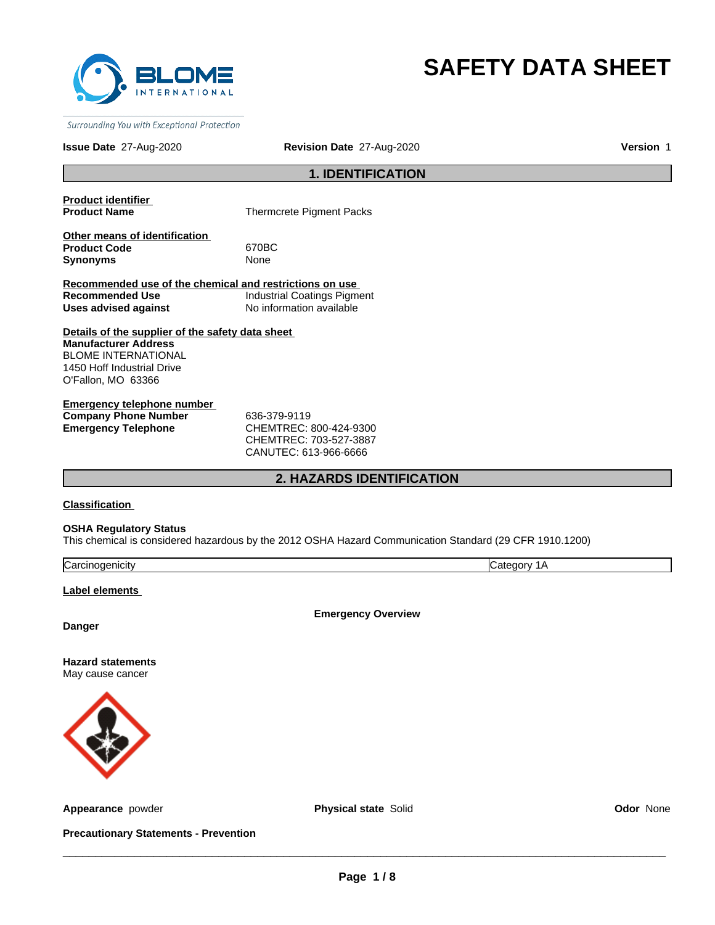

# **SAFETY DATA SHEET**

Surrounding You with Exceptional Protection

**Issue Date** 27-Aug-2020

**Revision Date** 27-Aug-2020

**Version** 1

# **1. IDENTIFICATION**

**Product identifier** 

**Thermcrete Pigment Packs** 

**Other means of identification**  Product Code 670BC **Synonyms** None

**Recommended use of the chemical and restrictions on use Recommended Use Industrial Coatings Pigment Uses advised against** No information available

**Details of the supplier of the safety data sheet Manufacturer Address** BLOME INTERNATIONAL 1450 Hoff Industrial Drive O'Fallon, MO 63366

**Emergency telephone number Company Phone Number** 636-379-9119 **Emergency Telephone** CHEMTREC: 800-424-9300

CHEMTREC: 703-527-3887 CANUTEC: 613-966-6666

# **2. HAZARDS IDENTIFICATION**

**Classification** 

**OSHA Regulatory Status**

This chemical is considered hazardous by the 2012 OSHA Hazard Communication Standard (29 CFR 1910.1200)

| $\sim$  | $\overline{\mathbf{u}}$ |
|---------|-------------------------|
| .nicitv | ּי                      |
| Nai     | חחוז                    |
|         | . .                     |

**Label elements** 

**Emergency Overview**

**Danger**

**Hazard statements** May cause cancer



**Appearance** powder **Physical state** Solid **Odor** None

**Precautionary Statements - Prevention**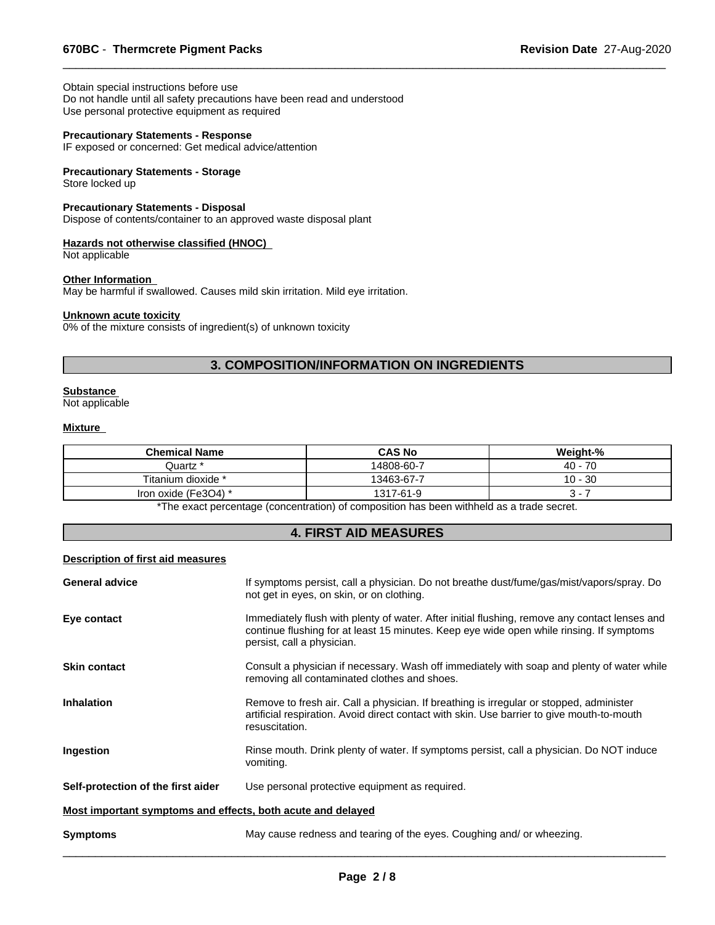Obtain special instructions before use Do not handle until all safety precautions have been read and understood Use personal protective equipment as required

#### **Precautionary Statements - Response**

IF exposed or concerned: Get medical advice/attention

# **Precautionary Statements - Storage**

Store locked up

# **Precautionary Statements - Disposal**

Dispose of contents/container to an approved waste disposal plant

#### **Hazards not otherwise classified (HNOC)**

Not applicable

# **Other Information**

May be harmful if swallowed. Causes mild skin irritation. Mild eye irritation.

# **Unknown acute toxicity**

0% of the mixture consists of ingredient(s) of unknown toxicity

# **3. COMPOSITION/INFORMATION ON INGREDIENTS**

 $\overline{\phantom{a}}$  ,  $\overline{\phantom{a}}$  ,  $\overline{\phantom{a}}$  ,  $\overline{\phantom{a}}$  ,  $\overline{\phantom{a}}$  ,  $\overline{\phantom{a}}$  ,  $\overline{\phantom{a}}$  ,  $\overline{\phantom{a}}$  ,  $\overline{\phantom{a}}$  ,  $\overline{\phantom{a}}$  ,  $\overline{\phantom{a}}$  ,  $\overline{\phantom{a}}$  ,  $\overline{\phantom{a}}$  ,  $\overline{\phantom{a}}$  ,  $\overline{\phantom{a}}$  ,  $\overline{\phantom{a}}$ 

# **Substance**

Not applicable

#### **Mixture**

| <b>Chemical Name</b>                             | <b>CAS No</b> | Weight-%  |  |  |
|--------------------------------------------------|---------------|-----------|--|--|
| Juartz *                                         | 14808-60-7    | $40 - 70$ |  |  |
| Titanium dioxide *                               | 13463-67-7    | $10 - 30$ |  |  |
| Iron oxide (Fe3O4) *                             | 1317-61-9     | . .       |  |  |
| $\sim$ . The same $\sim$<br>.<br>$\cdots$<br>. . |               |           |  |  |

\*The exact percentage (concentration) of composition has been withheld as a trade secret.

# **4. FIRST AID MEASURES**

# **Description of first aid measures**

| <b>General advice</b>                                       | If symptoms persist, call a physician. Do not breathe dust/fume/gas/mist/vapors/spray. Do<br>not get in eyes, on skin, or on clothing.                                                                                  |  |  |
|-------------------------------------------------------------|-------------------------------------------------------------------------------------------------------------------------------------------------------------------------------------------------------------------------|--|--|
| Eye contact                                                 | Immediately flush with plenty of water. After initial flushing, remove any contact lenses and<br>continue flushing for at least 15 minutes. Keep eye wide open while rinsing. If symptoms<br>persist, call a physician. |  |  |
| <b>Skin contact</b>                                         | Consult a physician if necessary. Wash off immediately with soap and plenty of water while<br>removing all contaminated clothes and shoes.                                                                              |  |  |
| <b>Inhalation</b>                                           | Remove to fresh air. Call a physician. If breathing is irregular or stopped, administer<br>artificial respiration. Avoid direct contact with skin. Use barrier to give mouth-to-mouth<br>resuscitation.                 |  |  |
| Ingestion                                                   | Rinse mouth. Drink plenty of water. If symptoms persist, call a physician. Do NOT induce<br>vomiting.                                                                                                                   |  |  |
| Self-protection of the first aider                          | Use personal protective equipment as required.                                                                                                                                                                          |  |  |
| Most important symptoms and effects, both acute and delayed |                                                                                                                                                                                                                         |  |  |
| <b>Symptoms</b>                                             | May cause redness and tearing of the eyes. Coughing and/ or wheezing.                                                                                                                                                   |  |  |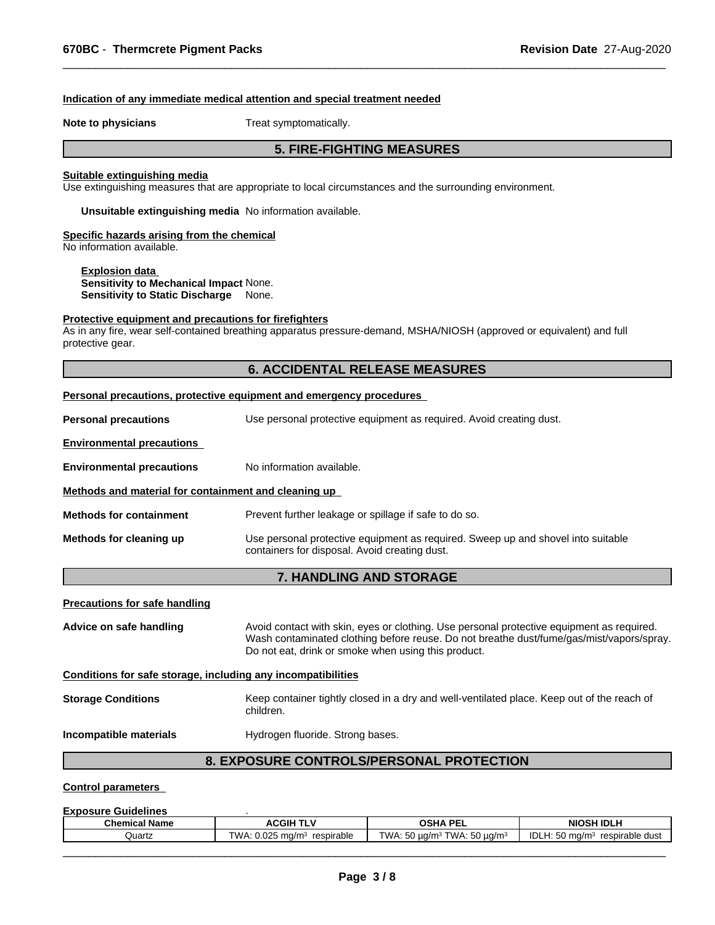#### **Indication of any immediate medical attention and special treatment needed**

**Note to physicians** Treat symptomatically.

# **5. FIRE-FIGHTING MEASURES**

 $\overline{\phantom{a}}$  ,  $\overline{\phantom{a}}$  ,  $\overline{\phantom{a}}$  ,  $\overline{\phantom{a}}$  ,  $\overline{\phantom{a}}$  ,  $\overline{\phantom{a}}$  ,  $\overline{\phantom{a}}$  ,  $\overline{\phantom{a}}$  ,  $\overline{\phantom{a}}$  ,  $\overline{\phantom{a}}$  ,  $\overline{\phantom{a}}$  ,  $\overline{\phantom{a}}$  ,  $\overline{\phantom{a}}$  ,  $\overline{\phantom{a}}$  ,  $\overline{\phantom{a}}$  ,  $\overline{\phantom{a}}$ 

#### **Suitable extinguishing media**

Use extinguishing measures that are appropriate to local circumstances and the surrounding environment.

**Unsuitable extinguishing media** No information available.

# **Specific hazards arising from the chemical**

No information available.

#### **Explosion data**

**Sensitivity to Mechanical Impact** None. **Sensitivity to Static Discharge** None.

#### **Protective equipment and precautions for firefighters**

As in any fire, wear self-contained breathing apparatus pressure-demand, MSHA/NIOSH (approved or equivalent) and full protective gear.

# **6. ACCIDENTAL RELEASE MEASURES**

|                                                                                                                                                                                                                                                                         | Personal precautions, protective equipment and emergency procedures                                                               |  |  |  |
|-------------------------------------------------------------------------------------------------------------------------------------------------------------------------------------------------------------------------------------------------------------------------|-----------------------------------------------------------------------------------------------------------------------------------|--|--|--|
| <b>Personal precautions</b>                                                                                                                                                                                                                                             | Use personal protective equipment as required. Avoid creating dust.                                                               |  |  |  |
| <b>Environmental precautions</b>                                                                                                                                                                                                                                        |                                                                                                                                   |  |  |  |
| <b>Environmental precautions</b>                                                                                                                                                                                                                                        | No information available.                                                                                                         |  |  |  |
| Methods and material for containment and cleaning up                                                                                                                                                                                                                    |                                                                                                                                   |  |  |  |
| <b>Methods for containment</b>                                                                                                                                                                                                                                          | Prevent further leakage or spillage if safe to do so.                                                                             |  |  |  |
| Methods for cleaning up                                                                                                                                                                                                                                                 | Use personal protective equipment as required. Sweep up and shovel into suitable<br>containers for disposal. Avoid creating dust. |  |  |  |
|                                                                                                                                                                                                                                                                         | 7. HANDLING AND STORAGE                                                                                                           |  |  |  |
| <b>Precautions for safe handling</b>                                                                                                                                                                                                                                    |                                                                                                                                   |  |  |  |
| Avoid contact with skin, eyes or clothing. Use personal protective equipment as required.<br>Advice on safe handling<br>Wash contaminated clothing before reuse. Do not breathe dust/fume/gas/mist/vapors/spray.<br>Do not eat, drink or smoke when using this product. |                                                                                                                                   |  |  |  |
| Conditions for safe storage, including any incompatibilities                                                                                                                                                                                                            |                                                                                                                                   |  |  |  |
| <b>Storage Conditions</b>                                                                                                                                                                                                                                               | Keep container tightly closed in a dry and well-ventilated place. Keep out of the reach of<br>children.                           |  |  |  |
| Incompatible materials                                                                                                                                                                                                                                                  | Hydrogen fluoride. Strong bases.                                                                                                  |  |  |  |
|                                                                                                                                                                                                                                                                         | <b>8. EXPOSURE CONTROLS/PERSONAL PROTECTION</b>                                                                                   |  |  |  |

# **Control parameters**

#### **Exposure Guidelines** .

| <b>OSHA PEI</b><br><b>NIOSH IDLF</b><br><b>Chemical Name</b><br>$\lambda$ CGIH $^{-}$<br>. .<br>╌⊏∟<br>$-2$<br>$\sim$<br>IDLH.<br>TWA.<br>0.025<br>TWA.<br>TWA:<br>$ -$<br>.50 ua/mª<br>Quartz<br>ma/m<br>resp<br>respirable<br>$\mu$ a/m $\mu$<br>irable<br>dust<br>ma/m·<br>5 K L<br>w<br>w | --------------------- |  |  |  |  |
|-----------------------------------------------------------------------------------------------------------------------------------------------------------------------------------------------------------------------------------------------------------------------------------------------|-----------------------|--|--|--|--|
|                                                                                                                                                                                                                                                                                               |                       |  |  |  |  |
|                                                                                                                                                                                                                                                                                               |                       |  |  |  |  |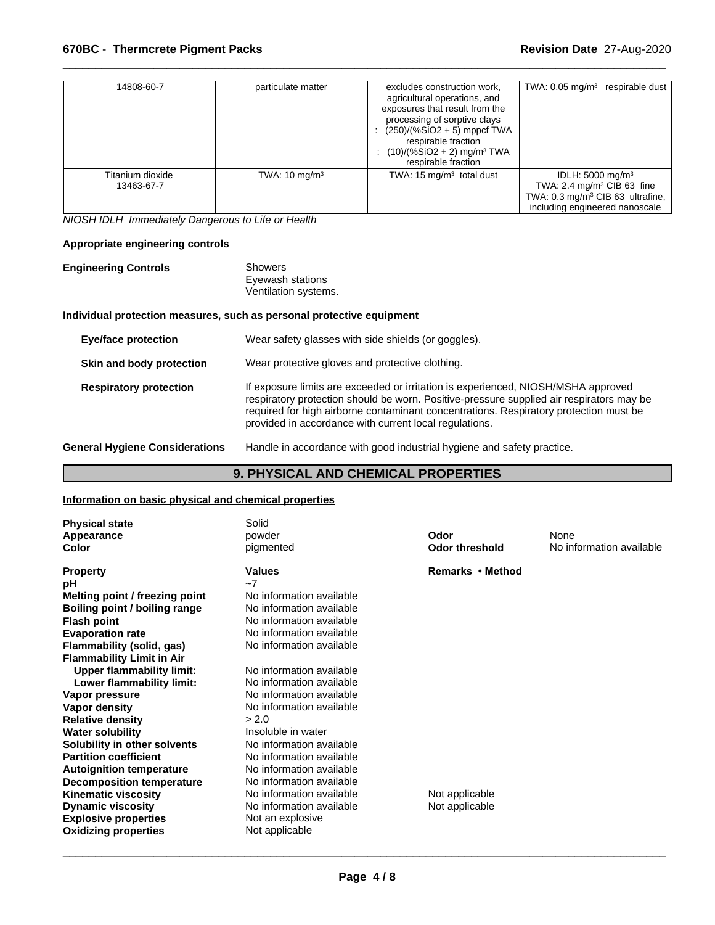| 14808-60-7                     | particulate matter       | excludes construction work,<br>agricultural operations, and<br>exposures that result from the<br>processing of sorptive clays<br>$(250)/(%SiO2 + 5)$ mppcf TWA<br>respirable fraction<br>$(10)/(%SiO2 + 2)$ mg/m <sup>3</sup> TWA<br>respirable fraction | TWA: $0.05$ mg/m <sup>3</sup><br>respirable dust                     |
|--------------------------------|--------------------------|----------------------------------------------------------------------------------------------------------------------------------------------------------------------------------------------------------------------------------------------------------|----------------------------------------------------------------------|
| Titanium dioxide<br>13463-67-7 | TWA: $10 \text{ mg/m}^3$ | TWA: $15 \text{ mg/m}^3$ total dust                                                                                                                                                                                                                      | IDLH: $5000 \text{ mg/m}^3$<br>TWA: $2.4 \text{ mg/m}^3$ CIB 63 fine |
|                                |                          |                                                                                                                                                                                                                                                          | TWA: $0.3 \text{ mg/m}^3$ CIB 63 ultrafine,                          |
|                                |                          |                                                                                                                                                                                                                                                          | including engineered nanoscale                                       |

 $\overline{\phantom{a}}$  ,  $\overline{\phantom{a}}$  ,  $\overline{\phantom{a}}$  ,  $\overline{\phantom{a}}$  ,  $\overline{\phantom{a}}$  ,  $\overline{\phantom{a}}$  ,  $\overline{\phantom{a}}$  ,  $\overline{\phantom{a}}$  ,  $\overline{\phantom{a}}$  ,  $\overline{\phantom{a}}$  ,  $\overline{\phantom{a}}$  ,  $\overline{\phantom{a}}$  ,  $\overline{\phantom{a}}$  ,  $\overline{\phantom{a}}$  ,  $\overline{\phantom{a}}$  ,  $\overline{\phantom{a}}$ 

*NIOSH IDLH Immediately Dangerous to Life or Health*

# **Appropriate engineering controls**

# **Engineering Controls** Showers Eyewash stations Ventilation systems.

# **Individual protection measures, such as personal protective equipment**

| <b>Eye/face protection</b>            | Wear safety glasses with side shields (or goggles).                                                                                                                                                                                                                                                                              |
|---------------------------------------|----------------------------------------------------------------------------------------------------------------------------------------------------------------------------------------------------------------------------------------------------------------------------------------------------------------------------------|
| Skin and body protection              | Wear protective gloves and protective clothing.                                                                                                                                                                                                                                                                                  |
| <b>Respiratory protection</b>         | If exposure limits are exceeded or irritation is experienced, NIOSH/MSHA approved<br>respiratory protection should be worn. Positive-pressure supplied air respirators may be<br>required for high airborne contaminant concentrations. Respiratory protection must be<br>provided in accordance with current local regulations. |
| <b>General Hygiene Considerations</b> | Handle in accordance with good industrial hygiene and safety practice.                                                                                                                                                                                                                                                           |

# **9. PHYSICAL AND CHEMICAL PROPERTIES**

# **Information on basic physical and chemical properties**

| <b>Physical state</b><br>Appearance<br>Color | Solid<br>powder<br>pigmented | Odor<br>Odor threshold | None<br>No information available |
|----------------------------------------------|------------------------------|------------------------|----------------------------------|
| <b>Property</b>                              | Values                       | Remarks • Method       |                                  |
| рH                                           | $-7$                         |                        |                                  |
| Melting point / freezing point               | No information available     |                        |                                  |
| Boiling point / boiling range                | No information available     |                        |                                  |
| <b>Flash point</b>                           | No information available     |                        |                                  |
| <b>Evaporation rate</b>                      | No information available     |                        |                                  |
| Flammability (solid, gas)                    | No information available     |                        |                                  |
| <b>Flammability Limit in Air</b>             |                              |                        |                                  |
| <b>Upper flammability limit:</b>             | No information available     |                        |                                  |
| Lower flammability limit:                    | No information available     |                        |                                  |
| Vapor pressure                               | No information available     |                        |                                  |
| Vapor density                                | No information available     |                        |                                  |
| <b>Relative density</b>                      | > 2.0                        |                        |                                  |
| <b>Water solubility</b>                      | Insoluble in water           |                        |                                  |
| Solubility in other solvents                 | No information available     |                        |                                  |
| <b>Partition coefficient</b>                 | No information available     |                        |                                  |
| <b>Autoignition temperature</b>              | No information available     |                        |                                  |
| <b>Decomposition temperature</b>             | No information available     |                        |                                  |
| <b>Kinematic viscosity</b>                   | No information available     | Not applicable         |                                  |
| <b>Dynamic viscosity</b>                     | No information available     | Not applicable         |                                  |
| <b>Explosive properties</b>                  | Not an explosive             |                        |                                  |
| <b>Oxidizing properties</b>                  | Not applicable               |                        |                                  |
|                                              |                              |                        |                                  |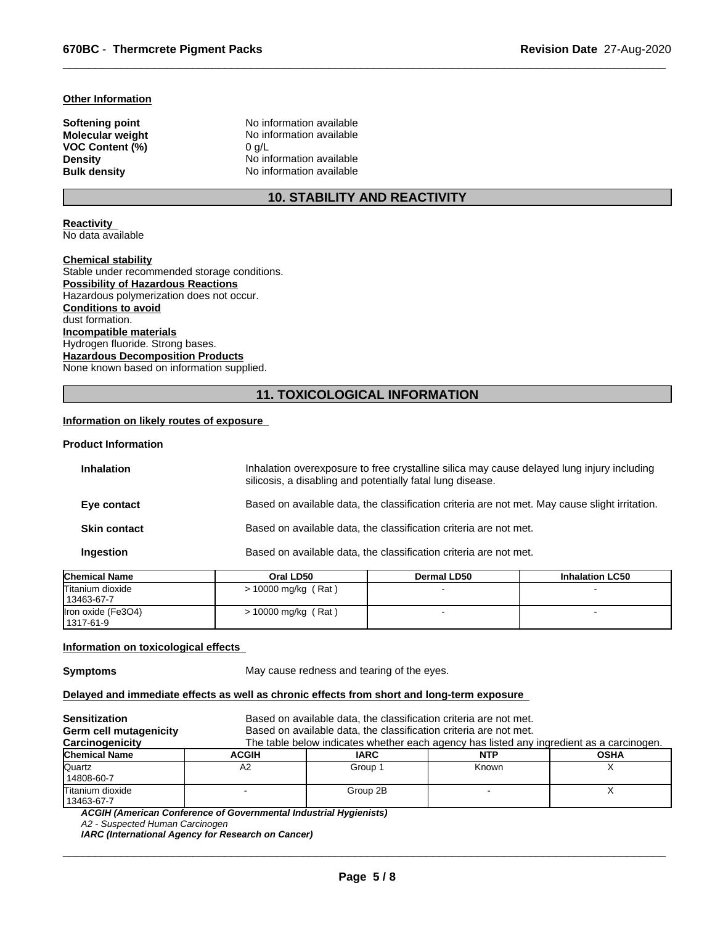#### **Other Information**

**VOC Content (%)** 0 g/L

**Softening point No information available**<br> **Molecular weight No information available No information available Density** No information available **Bulk density** No information available

# **10. STABILITY AND REACTIVITY**

 $\overline{\phantom{a}}$  ,  $\overline{\phantom{a}}$  ,  $\overline{\phantom{a}}$  ,  $\overline{\phantom{a}}$  ,  $\overline{\phantom{a}}$  ,  $\overline{\phantom{a}}$  ,  $\overline{\phantom{a}}$  ,  $\overline{\phantom{a}}$  ,  $\overline{\phantom{a}}$  ,  $\overline{\phantom{a}}$  ,  $\overline{\phantom{a}}$  ,  $\overline{\phantom{a}}$  ,  $\overline{\phantom{a}}$  ,  $\overline{\phantom{a}}$  ,  $\overline{\phantom{a}}$  ,  $\overline{\phantom{a}}$ 

**Reactivity**  No data available

**Chemical stability**

Stable under recommended storage conditions. **Possibility of Hazardous Reactions** Hazardous polymerization does not occur. **Conditions to avoid** dust formation. **Incompatible materials** Hydrogen fluoride. Strong bases. **Hazardous Decomposition Products** None known based on information supplied.

# **11. TOXICOLOGICAL INFORMATION**

# **Information on likely routes of exposure**

# **Product Information**

| <b>Inhalation</b>   | Inhalation overexposure to free crystalline silica may cause delayed lung injury including<br>silicosis, a disabling and potentially fatal lung disease. |
|---------------------|----------------------------------------------------------------------------------------------------------------------------------------------------------|
| Eye contact         | Based on available data, the classification criteria are not met. May cause slight irritation.                                                           |
| <b>Skin contact</b> | Based on available data, the classification criteria are not met.                                                                                        |
| Ingestion           | Based on available data, the classification criteria are not met.                                                                                        |
|                     |                                                                                                                                                          |

| <b>Chemical Name</b>              | Oral LD50             | <b>Dermal LD50</b> | <b>Inhalation LC50</b> |
|-----------------------------------|-----------------------|--------------------|------------------------|
| Titanium dioxide<br>  13463-67-7  | $> 10000$ mg/kg (Rat) |                    |                        |
| Iron oxide (Fe3O4)<br>  1317-61-9 | $> 10000$ mg/kg (Rat) |                    |                        |

#### **Information on toxicological effects**

**Symptoms** May cause redness and tearing of the eyes.

# **Delayed and immediate effects as well as chronic effects from short and long-term exposure**

| <b>Sensitization</b><br>Germ cell mutagenicity<br>Carcinogenicity |              | Based on available data, the classification criteria are not met.<br>Based on available data, the classification criteria are not met.<br>The table below indicates whether each agency has listed any ingredient as a carcinogen. |            |             |
|-------------------------------------------------------------------|--------------|------------------------------------------------------------------------------------------------------------------------------------------------------------------------------------------------------------------------------------|------------|-------------|
| <b>Chemical Name</b>                                              | <b>ACGIH</b> | <b>IARC</b>                                                                                                                                                                                                                        | <b>NTP</b> | <b>OSHA</b> |
| Quartz<br>14808-60-7                                              | A2           | Group 1                                                                                                                                                                                                                            | Known      |             |
| Titanium dioxide<br>13463-67-7                                    |              | Group 2B                                                                                                                                                                                                                           |            |             |

*ACGIH (American Conference of Governmental Industrial Hygienists)*

*IARC (International Agency for Research on Cancer)*

*A2 - Suspected Human Carcinogen*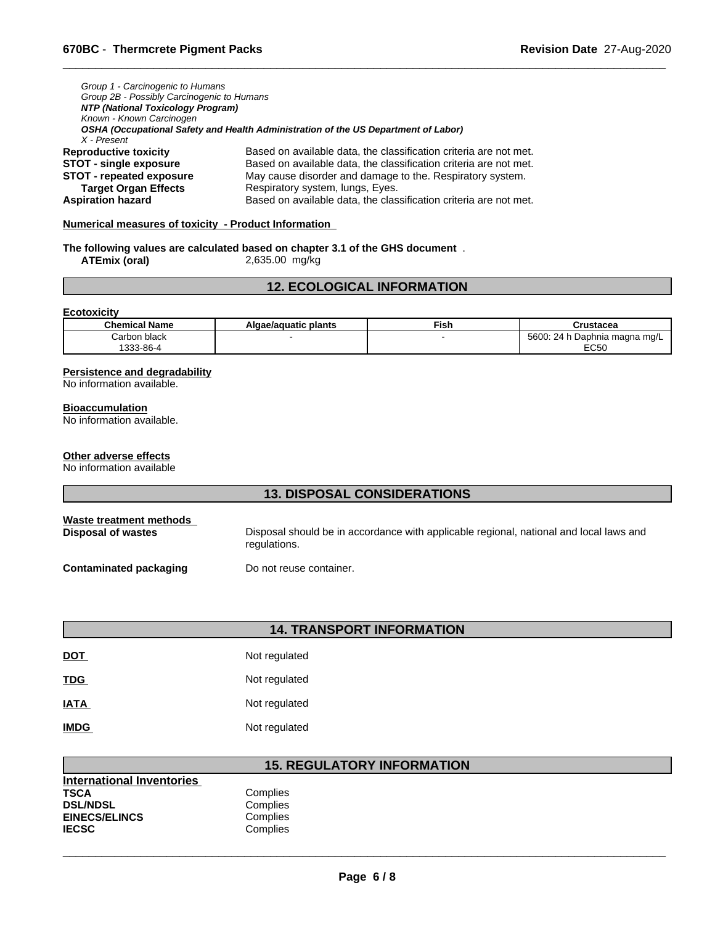| Group 1 - Carcinogenic to Humans           |                                                                                    |  |  |  |
|--------------------------------------------|------------------------------------------------------------------------------------|--|--|--|
| Group 2B - Possibly Carcinogenic to Humans |                                                                                    |  |  |  |
| NTP (National Toxicology Program)          |                                                                                    |  |  |  |
| Known - Known Carcinogen                   |                                                                                    |  |  |  |
|                                            | OSHA (Occupational Safety and Health Administration of the US Department of Labor) |  |  |  |
| X - Present                                |                                                                                    |  |  |  |
| <b>Reproductive toxicity</b>               | Based on available data, the classification criteria are not met.                  |  |  |  |
| <b>STOT - single exposure</b>              | Based on available data, the classification criteria are not met.                  |  |  |  |
| <b>STOT - repeated exposure</b>            | May cause disorder and damage to the. Respiratory system.                          |  |  |  |
| <b>Target Organ Effects</b>                | Respiratory system, lungs, Eyes.                                                   |  |  |  |
| <b>Aspiration hazard</b>                   | Based on available data, the classification criteria are not met.                  |  |  |  |

# **Numerical measures of toxicity - Product Information**

**The following values are calculated based on chapter 3.1 of the GHS document** . **ATEmix (oral)** 2,635.00 mg/kg

# **12. ECOLOGICAL INFORMATION**

 $\overline{\phantom{a}}$  ,  $\overline{\phantom{a}}$  ,  $\overline{\phantom{a}}$  ,  $\overline{\phantom{a}}$  ,  $\overline{\phantom{a}}$  ,  $\overline{\phantom{a}}$  ,  $\overline{\phantom{a}}$  ,  $\overline{\phantom{a}}$  ,  $\overline{\phantom{a}}$  ,  $\overline{\phantom{a}}$  ,  $\overline{\phantom{a}}$  ,  $\overline{\phantom{a}}$  ,  $\overline{\phantom{a}}$  ,  $\overline{\phantom{a}}$  ,  $\overline{\phantom{a}}$  ,  $\overline{\phantom{a}}$ 

#### **Ecotoxicity**

| <b>Chemical Name</b> | Algae/aguatic plants | --<br>Fısh | Crustacea                                          |
|----------------------|----------------------|------------|----------------------------------------------------|
| ı black<br>Carbon    |                      |            | $\n $ Done<br>5600.<br>24 h<br>⊦Daphnia maɑna mɑ/L |
| $\sim$<br>`33-86-    |                      |            | <b>FOLO</b><br>LUJU                                |

# **Persistence and degradability**

No information available.

#### **Bioaccumulation**

No information available.

# **Other adverse effects**

No information available

# **13. DISPOSAL CONSIDERATIONS**

| Waste treatment methods | Disposal should be in accordance with applicable regional, national and local laws and |
|-------------------------|----------------------------------------------------------------------------------------|
| Disposal of wastes      | regulations.                                                                           |
| Contaminated packaging  | Do not reuse container.                                                                |

# **14. TRANSPORT INFORMATION**

| <b>DOT</b>  | Not regulated |
|-------------|---------------|
| <b>TDG</b>  | Not regulated |
| <b>IATA</b> | Not regulated |
| <b>IMDG</b> | Not regulated |

# **15. REGULATORY INFORMATION**

| International Inventories |          |
|---------------------------|----------|
| TSCA                      | Complies |
| <b>DSL/NDSL</b>           | Complies |
| <b>EINECS/ELINCS</b>      | Complies |
| IECSC                     | Complies |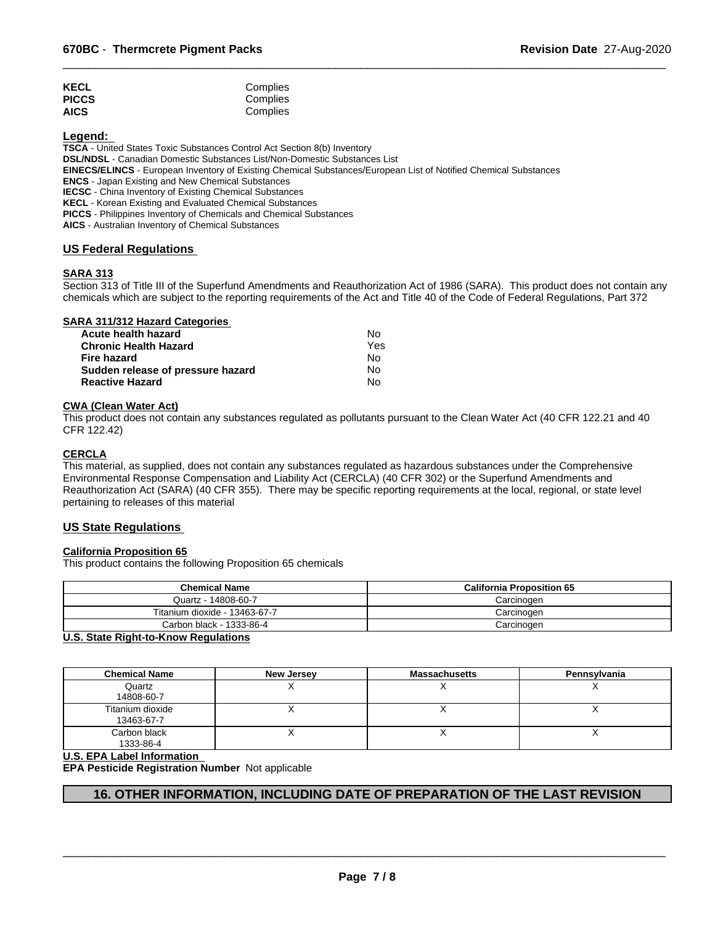| <b>KECL</b>  | Complies |  |
|--------------|----------|--|
| <b>PICCS</b> | Complies |  |
| <b>AICS</b>  | Complies |  |

**Legend:** 

**TSCA** - United States Toxic Substances Control Act Section 8(b) Inventory

**DSL/NDSL** - Canadian Domestic Substances List/Non-Domestic Substances List

**EINECS/ELINCS** - European Inventory of Existing Chemical Substances/European List of Notified Chemical Substances

**ENCS** - Japan Existing and New Chemical Substances

**IECSC** - China Inventory of Existing Chemical Substances

**KECL** - Korean Existing and Evaluated Chemical Substances

**PICCS** - Philippines Inventory of Chemicals and Chemical Substances

**AICS** - Australian Inventory of Chemical Substances

# **US Federal Regulations**

# **SARA 313**

Section 313 of Title III of the Superfund Amendments and Reauthorization Act of 1986 (SARA). This product does not contain any chemicals which are subject to the reporting requirements of the Act and Title 40 of the Code of Federal Regulations, Part 372

 $\overline{\phantom{a}}$  ,  $\overline{\phantom{a}}$  ,  $\overline{\phantom{a}}$  ,  $\overline{\phantom{a}}$  ,  $\overline{\phantom{a}}$  ,  $\overline{\phantom{a}}$  ,  $\overline{\phantom{a}}$  ,  $\overline{\phantom{a}}$  ,  $\overline{\phantom{a}}$  ,  $\overline{\phantom{a}}$  ,  $\overline{\phantom{a}}$  ,  $\overline{\phantom{a}}$  ,  $\overline{\phantom{a}}$  ,  $\overline{\phantom{a}}$  ,  $\overline{\phantom{a}}$  ,  $\overline{\phantom{a}}$ 

# **SARA 311/312 Hazard Categories**

| Acute health hazard               | No. |  |
|-----------------------------------|-----|--|
| Chronic Health Hazard             | Yes |  |
| Fire hazard                       | No. |  |
| Sudden release of pressure hazard | No. |  |
| <b>Reactive Hazard</b>            | Nο  |  |

# **CWA (Clean Water Act)**

This product does not contain any substances regulated as pollutants pursuant to the Clean Water Act (40 CFR 122.21 and 40 CFR 122.42)

# **CERCLA**

This material, as supplied, does not contain any substances regulated as hazardous substances under the Comprehensive Environmental Response Compensation and Liability Act (CERCLA) (40 CFR 302) or the Superfund Amendments and Reauthorization Act (SARA) (40 CFR 355). There may be specific reporting requirements at the local, regional, or state level pertaining to releases of this material

# **US State Regulations**

# **California Proposition 65**

This product contains the following Proposition 65 chemicals

| <b>Chemical Name</b>          | <b>California Proposition 65</b> |
|-------------------------------|----------------------------------|
| Quartz - 14808-60-7           | Carcinoɑen                       |
| Titanium dioxide - 13463-67-7 | Carcinogen                       |
| Carbon black - 1333-86-4      | Carcinogen                       |

# **U.S. State Right-to-Know Regulations**

| <b>Chemical Name</b>           | <b>New Jersey</b> | <b>Massachusetts</b> | Pennsylvania |
|--------------------------------|-------------------|----------------------|--------------|
| Quartz<br>14808-60-7           |                   |                      |              |
| Titanium dioxide<br>13463-67-7 |                   |                      |              |
| Carbon black<br>1333-86-4      |                   |                      |              |

# **U.S. EPA Label Information**

**EPA Pesticide Registration Number** Not applicable

# **16. OTHER INFORMATION, INCLUDING DATE OF PREPARATION OF THE LAST REVISION**